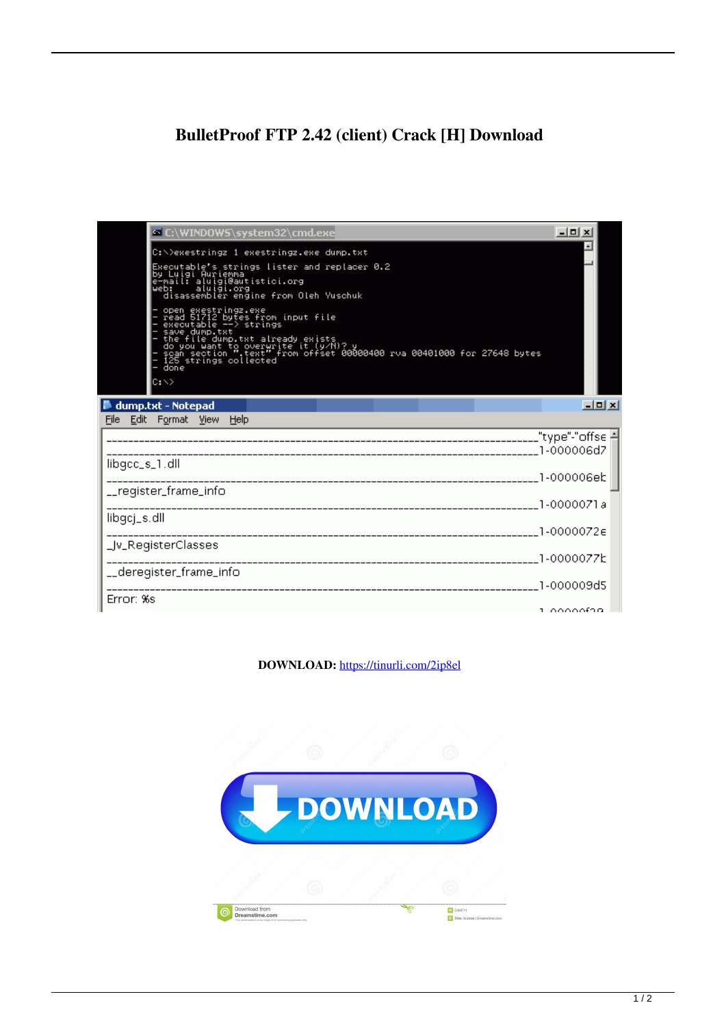## **BulletProof FTP 2.42 (client) Crack [H] Download**

| <b>E:\WINDOWS\system32\cmd.exe</b>                                                                                                                                                                                                                            | $ \vert$ $\vert$ $\vert$ $\times$ |               |
|---------------------------------------------------------------------------------------------------------------------------------------------------------------------------------------------------------------------------------------------------------------|-----------------------------------|---------------|
| C:\>exestringz_1_exestringz.exe_dump.txt                                                                                                                                                                                                                      |                                   |               |
| Executable's strings lister and replacer 0.2<br>by Luigi Aurienna<br>  e-mail: aluigi@autistici.org<br>  web: aluigi.org<br>  aluigi.org<br>  disassembler engine from Oleh Yuschuk                                                                           |                                   |               |
| - open exestrings.exe<br>- read 51712 bytes from input file<br>- executable --> strings<br>- save dump.txt<br>- save dump.txt<br>- do you want to overwrite it (y/R)?<br>- do you want to overwrite it (y/R)?<br>- do you want to overwrite it (y/R<br>lc: \> |                                   |               |
| dump.txt - Notepad                                                                                                                                                                                                                                            |                                   | <b>Little</b> |
| File<br>Edit Format View Help                                                                                                                                                                                                                                 |                                   |               |
|                                                                                                                                                                                                                                                               |                                   |               |
| libgcc_s_1.dll                                                                                                                                                                                                                                                |                                   |               |
|                                                                                                                                                                                                                                                               | 1-000006eb                        |               |
| __register_frame_info                                                                                                                                                                                                                                         | 1-0000071a                        |               |
| libgcj_s.dll                                                                                                                                                                                                                                                  |                                   |               |
| _Jv_RegisterClasses                                                                                                                                                                                                                                           |                                   |               |
|                                                                                                                                                                                                                                                               |                                   |               |
| __deregister_frame_info                                                                                                                                                                                                                                       |                                   |               |
| Error: %s                                                                                                                                                                                                                                                     | a cococida                        |               |

**DOWNLOAD:** <https://tinurli.com/2ip8el>